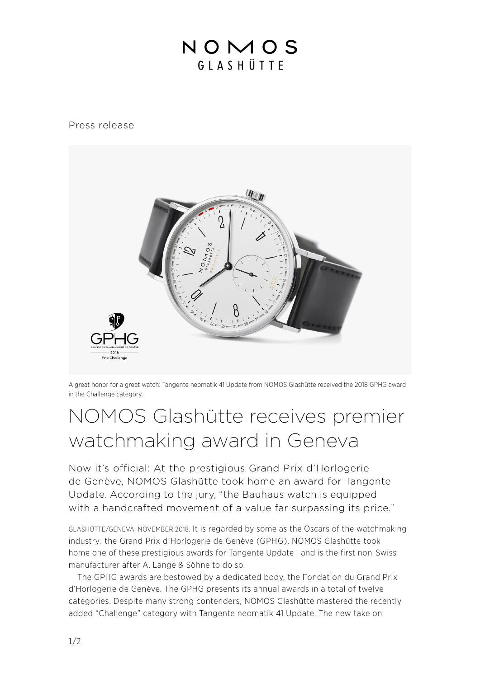## NOMOS GIASHÜTTE

## Press release



A great honor for a great watch: Tangente neomatik 41 Update from NOMOS Glashütte received the 2018 GPHG award in the Challenge category.

## NOMOS Glashütte receives premier watchmaking award in Geneva

Now it's official: At the prestigious Grand Prix d'Horlogerie de Genève, NOMOS Glashütte took home an award for Tangente Update. According to the jury, "the Bauhaus watch is equipped with a handcrafted movement of a value far surpassing its price."

GLASHÜTTE/GENEVA, NOVEMBER 2018. It is regarded by some as the Oscars of the watchmaking industry: the Grand Prix d'Horlogerie de Genève (GPHG). NOMOS Glashütte took home one of these prestigious awards for Tangente Update—and is the first non-Swiss manufacturer after A. Lange & Söhne to do so.

 The GPHG awards are bestowed by a dedicated body, the Fondation du Grand Prix d'Horlogerie de Genève. The GPHG presents its annual awards in a total of twelve categories. Despite many strong contenders, NOMOS Glashütte mastered the recently added "Challenge" category with Tangente neomatik 41 Update. The new take on